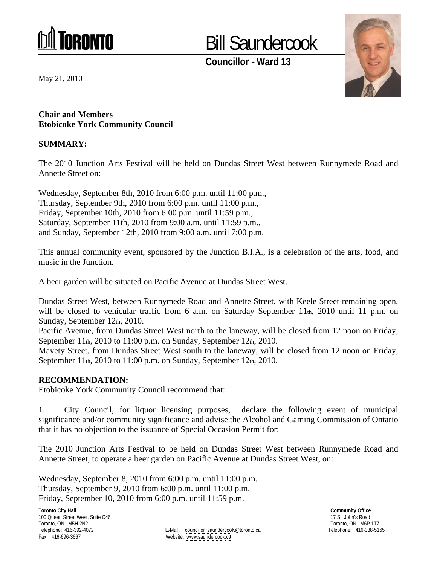

## Bill Saundercook

**Councillor - Ward 13**



**Chair and Members Etobicoke York Community Council**

### **SUMMARY:**

The 2010 Junction Arts Festival will be held on Dundas Street West between Runnymede Road and Annette Street on:

Char and Nembers<br>
Char and Nembers<br>
Etablesk X We Community Council<br>
SUMMARAY:<br>
SUMMARAY:<br>
SUMMARAY:<br>
The 2010 Junction Arts Festival will be held on Dundas Street West between Rumsynsede Road and<br>
Americ Street on:<br>
Wedn Wednesday, September 8th, 2010 from 6:00 p.m. until 11:00 p.m., Thursday, September 9th, 2010 from 6:00 p.m. until 11:00 p.m., Friday, September 10th, 2010 from 6:00 p.m. until 11:59 p.m., Saturday, September 11th, 2010 from 9:00 a.m. until 11:59 p.m., and Sunday, September 12th, 2010 from 9:00 a.m. until 7:00 p.m.

This annual community event, sponsored by the Junction B.I.A., is a celebration of the arts, food, and music in the Junction.

A beer garden will be situated on Pacific Avenue at Dundas Street West.

Dundas Street West, between Runnymede Road and Annette Street, with Keele Street remaining open, will be closed to vehicular traffic from 6 a.m. on Saturday September 11th, 2010 until 11 p.m. on Sunday, September 12th, 2010.

Pacific Avenue, from Dundas Street West north to the laneway, will be closed from 12 noon on Friday, September 11th, 2010 to 11:00 p.m. on Sunday, September 12th, 2010.

Mavety Street, from Dundas Street West south to the laneway, will be closed from 12 noon on Friday, September 11th, 2010 to 11:00 p.m. on Sunday, September 12th, 2010.

#### **RECOMMENDATION:**

Etobicoke York Community Council recommend that:

1. City Council, for liquor licensing purposes, declare the following event of municipal significance and/or community significance and advise the Alcohol and Gaming Commission of Ontario that it has no objection to the issuance of Special Occasion Permit for:

The 2010 Junction Arts Festival to be held on Dundas Street West between Runnymede Road and Annette Street, to operate a beer garden on Pacific Avenue at Dundas Street West, on:

Wednesday, September 8, 2010 from 6:00 p.m. until 11:00 p.m. Thursday, September 9, 2010 from 6:00 p.m. until 11:00 p.m. Friday, September 10, 2010 from 6:00 p.m. until 11:59 p.m.